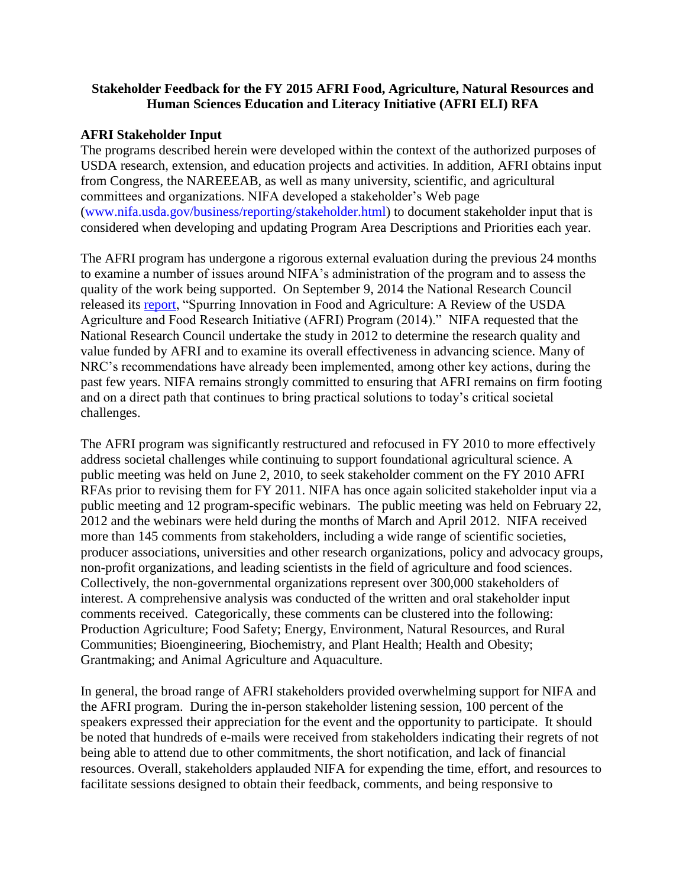## **Stakeholder Feedback for the FY 2015 AFRI Food, Agriculture, Natural Resources and Human Sciences Education and Literacy Initiative (AFRI ELI) RFA**

## **AFRI Stakeholder Input**

The programs described herein were developed within the context of the authorized purposes of USDA research, extension, and education projects and activities. In addition, AFRI obtains input from Congress, the NAREEEAB, as well as many university, scientific, and agricultural committees and organizations. NIFA developed a stakeholder's Web page [\(www.nifa.usda.gov/business/reporting/stakeholder.html\)](http://www.nifa.usda.gov/business/reporting/stakeholder.html) to document stakeholder input that is considered when developing and updating Program Area Descriptions and Priorities each year.

The AFRI program has undergone a rigorous external evaluation during the previous 24 months to examine a number of issues around NIFA's administration of the program and to assess the quality of the work being supported. On September 9, 2014 the National Research Council released its [report,](http://www.nap.edu/catalog.php?record_id=18652) "Spurring Innovation in Food and Agriculture: A Review of the USDA Agriculture and Food Research Initiative (AFRI) Program (2014)." NIFA requested that the National Research Council undertake the study in 2012 to determine the research quality and value funded by AFRI and to examine its overall effectiveness in advancing science. Many of NRC's recommendations have already been implemented, among other key actions, during the past few years. NIFA remains strongly committed to ensuring that AFRI remains on firm footing and on a direct path that continues to bring practical solutions to today's critical societal challenges.

The AFRI program was significantly restructured and refocused in FY 2010 to more effectively address societal challenges while continuing to support foundational agricultural science. A public meeting was held on June 2, 2010, to seek stakeholder comment on the FY 2010 AFRI RFAs prior to revising them for FY 2011. NIFA has once again solicited stakeholder input via a public meeting and 12 program-specific webinars. The public meeting was held on February 22, 2012 and the webinars were held during the months of March and April 2012. NIFA received more than 145 comments from stakeholders, including a wide range of scientific societies, producer associations, universities and other research organizations, policy and advocacy groups, non-profit organizations, and leading scientists in the field of agriculture and food sciences. Collectively, the non-governmental organizations represent over 300,000 stakeholders of interest. A comprehensive analysis was conducted of the written and oral stakeholder input comments received. Categorically, these comments can be clustered into the following: Production Agriculture; Food Safety; Energy, Environment, Natural Resources, and Rural Communities; Bioengineering, Biochemistry, and Plant Health; Health and Obesity; Grantmaking; and Animal Agriculture and Aquaculture.

In general, the broad range of AFRI stakeholders provided overwhelming support for NIFA and the AFRI program. During the in-person stakeholder listening session, 100 percent of the speakers expressed their appreciation for the event and the opportunity to participate. It should be noted that hundreds of e-mails were received from stakeholders indicating their regrets of not being able to attend due to other commitments, the short notification, and lack of financial resources. Overall, stakeholders applauded NIFA for expending the time, effort, and resources to facilitate sessions designed to obtain their feedback, comments, and being responsive to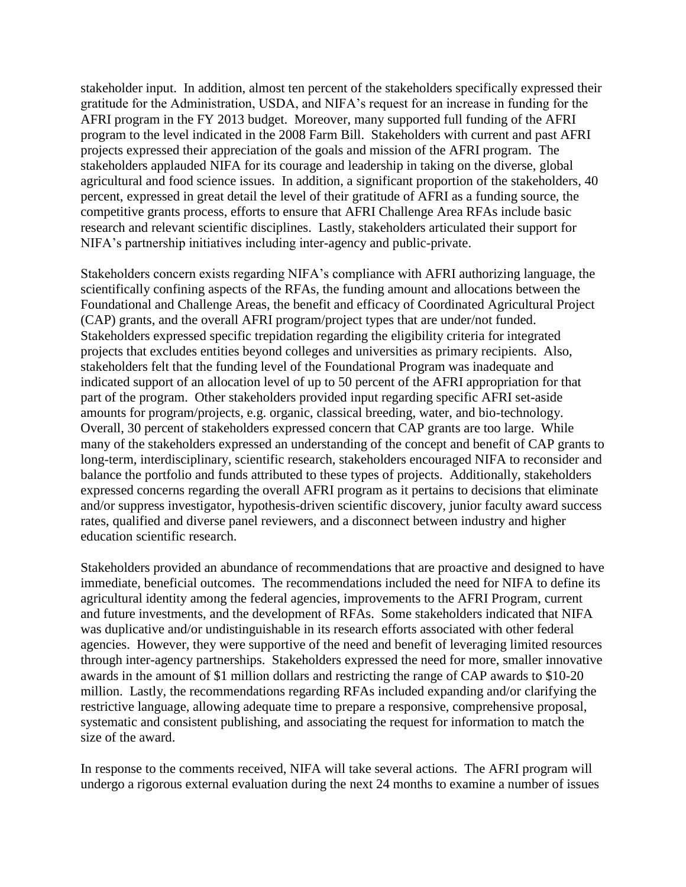stakeholder input. In addition, almost ten percent of the stakeholders specifically expressed their gratitude for the Administration, USDA, and NIFA's request for an increase in funding for the AFRI program in the FY 2013 budget. Moreover, many supported full funding of the AFRI program to the level indicated in the 2008 Farm Bill. Stakeholders with current and past AFRI projects expressed their appreciation of the goals and mission of the AFRI program. The stakeholders applauded NIFA for its courage and leadership in taking on the diverse, global agricultural and food science issues. In addition, a significant proportion of the stakeholders, 40 percent, expressed in great detail the level of their gratitude of AFRI as a funding source, the competitive grants process, efforts to ensure that AFRI Challenge Area RFAs include basic research and relevant scientific disciplines. Lastly, stakeholders articulated their support for NIFA's partnership initiatives including inter-agency and public-private.

Stakeholders concern exists regarding NIFA's compliance with AFRI authorizing language, the scientifically confining aspects of the RFAs, the funding amount and allocations between the Foundational and Challenge Areas, the benefit and efficacy of Coordinated Agricultural Project (CAP) grants, and the overall AFRI program/project types that are under/not funded. Stakeholders expressed specific trepidation regarding the eligibility criteria for integrated projects that excludes entities beyond colleges and universities as primary recipients. Also, stakeholders felt that the funding level of the Foundational Program was inadequate and indicated support of an allocation level of up to 50 percent of the AFRI appropriation for that part of the program. Other stakeholders provided input regarding specific AFRI set-aside amounts for program/projects, e.g. organic, classical breeding, water, and bio-technology. Overall, 30 percent of stakeholders expressed concern that CAP grants are too large. While many of the stakeholders expressed an understanding of the concept and benefit of CAP grants to long-term, interdisciplinary, scientific research, stakeholders encouraged NIFA to reconsider and balance the portfolio and funds attributed to these types of projects. Additionally, stakeholders expressed concerns regarding the overall AFRI program as it pertains to decisions that eliminate and/or suppress investigator, hypothesis-driven scientific discovery, junior faculty award success rates, qualified and diverse panel reviewers, and a disconnect between industry and higher education scientific research.

Stakeholders provided an abundance of recommendations that are proactive and designed to have immediate, beneficial outcomes. The recommendations included the need for NIFA to define its agricultural identity among the federal agencies, improvements to the AFRI Program, current and future investments, and the development of RFAs. Some stakeholders indicated that NIFA was duplicative and/or undistinguishable in its research efforts associated with other federal agencies. However, they were supportive of the need and benefit of leveraging limited resources through inter-agency partnerships. Stakeholders expressed the need for more, smaller innovative awards in the amount of \$1 million dollars and restricting the range of CAP awards to \$10-20 million. Lastly, the recommendations regarding RFAs included expanding and/or clarifying the restrictive language, allowing adequate time to prepare a responsive, comprehensive proposal, systematic and consistent publishing, and associating the request for information to match the size of the award.

In response to the comments received, NIFA will take several actions. The AFRI program will undergo a rigorous external evaluation during the next 24 months to examine a number of issues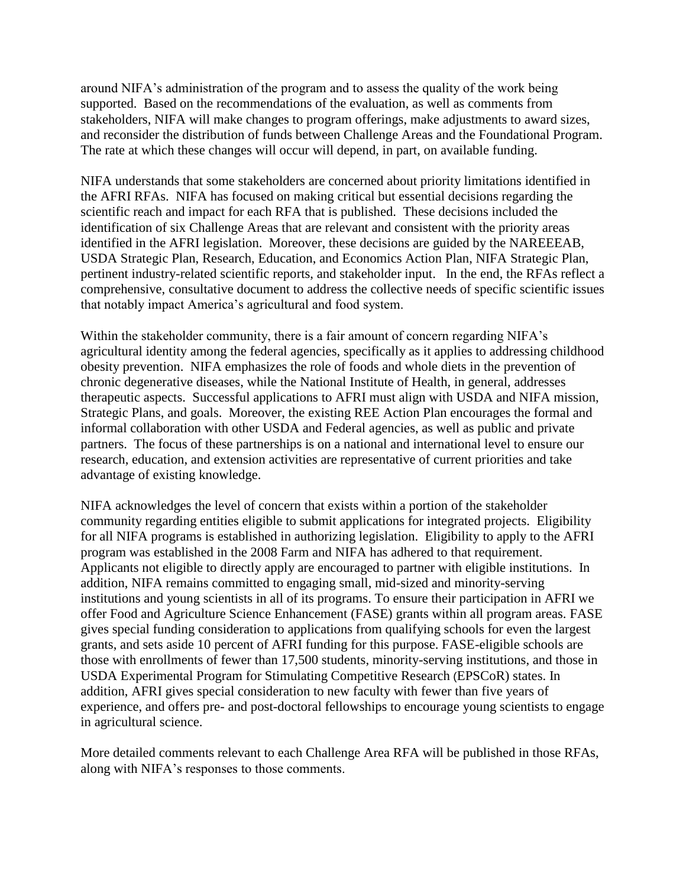around NIFA's administration of the program and to assess the quality of the work being supported. Based on the recommendations of the evaluation, as well as comments from stakeholders, NIFA will make changes to program offerings, make adjustments to award sizes, and reconsider the distribution of funds between Challenge Areas and the Foundational Program. The rate at which these changes will occur will depend, in part, on available funding.

NIFA understands that some stakeholders are concerned about priority limitations identified in the AFRI RFAs. NIFA has focused on making critical but essential decisions regarding the scientific reach and impact for each RFA that is published. These decisions included the identification of six Challenge Areas that are relevant and consistent with the priority areas identified in the AFRI legislation. Moreover, these decisions are guided by the NAREEEAB, USDA Strategic Plan, Research, Education, and Economics Action Plan, NIFA Strategic Plan, pertinent industry-related scientific reports, and stakeholder input. In the end, the RFAs reflect a comprehensive, consultative document to address the collective needs of specific scientific issues that notably impact America's agricultural and food system.

Within the stakeholder community, there is a fair amount of concern regarding NIFA's agricultural identity among the federal agencies, specifically as it applies to addressing childhood obesity prevention. NIFA emphasizes the role of foods and whole diets in the prevention of chronic degenerative diseases, while the National Institute of Health, in general, addresses therapeutic aspects. Successful applications to AFRI must align with USDA and NIFA mission, Strategic Plans, and goals. Moreover, the existing REE Action Plan encourages the formal and informal collaboration with other USDA and Federal agencies, as well as public and private partners. The focus of these partnerships is on a national and international level to ensure our research, education, and extension activities are representative of current priorities and take advantage of existing knowledge.

NIFA acknowledges the level of concern that exists within a portion of the stakeholder community regarding entities eligible to submit applications for integrated projects. Eligibility for all NIFA programs is established in authorizing legislation. Eligibility to apply to the AFRI program was established in the 2008 Farm and NIFA has adhered to that requirement. Applicants not eligible to directly apply are encouraged to partner with eligible institutions. In addition, NIFA remains committed to engaging small, mid-sized and minority-serving institutions and young scientists in all of its programs. To ensure their participation in AFRI we offer Food and Agriculture Science Enhancement (FASE) grants within all program areas. FASE gives special funding consideration to applications from qualifying schools for even the largest grants, and sets aside 10 percent of AFRI funding for this purpose. FASE-eligible schools are those with enrollments of fewer than 17,500 students, minority-serving institutions, and those in USDA Experimental Program for Stimulating Competitive Research (EPSCoR) states. In addition, AFRI gives special consideration to new faculty with fewer than five years of experience, and offers pre- and post-doctoral fellowships to encourage young scientists to engage in agricultural science.

More detailed comments relevant to each Challenge Area RFA will be published in those RFAs, along with NIFA's responses to those comments.